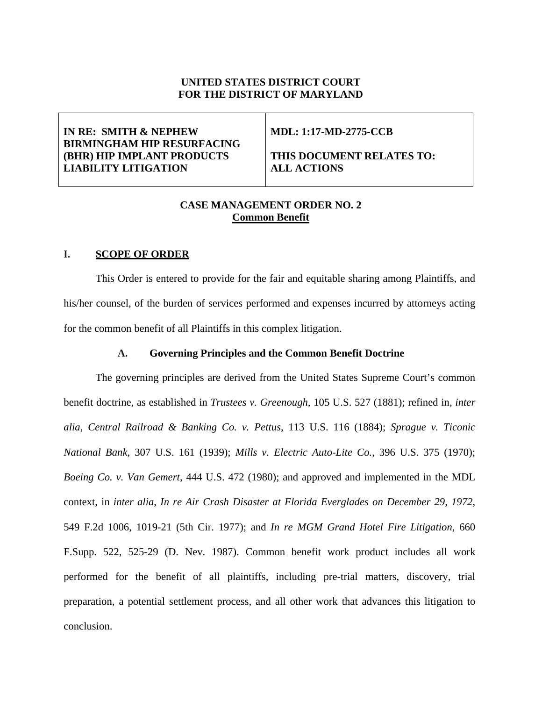# **UNITED STATES DISTRICT COURT FOR THE DISTRICT OF MARYLAND**

# **IN RE: SMITH & NEPHEW BIRMINGHAM HIP RESURFACING (BHR) HIP IMPLANT PRODUCTS LIABILITY LITIGATION**

# **MDL: 1:17-MD-2775-CCB**

**THIS DOCUMENT RELATES TO: ALL ACTIONS** 

# **CASE MANAGEMENT ORDER NO. 2 Common Benefit**

# **I. SCOPE OF ORDER**

This Order is entered to provide for the fair and equitable sharing among Plaintiffs, and his/her counsel, of the burden of services performed and expenses incurred by attorneys acting for the common benefit of all Plaintiffs in this complex litigation.

## **A. Governing Principles and the Common Benefit Doctrine**

The governing principles are derived from the United States Supreme Court's common benefit doctrine, as established in *Trustees v. Greenough*, 105 U.S. 527 (1881); refined in, *inter alia*, *Central Railroad & Banking Co. v. Pettus*, 113 U.S. 116 (1884); *Sprague v. Ticonic National Bank*, 307 U.S. 161 (1939); *Mills v. Electric Auto-Lite Co.*, 396 U.S. 375 (1970); *Boeing Co. v. Van Gemert*, 444 U.S. 472 (1980); and approved and implemented in the MDL context, in *inter alia*, *In re Air Crash Disaster at Florida Everglades on December 29, 1972*, 549 F.2d 1006, 1019-21 (5th Cir. 1977); and *In re MGM Grand Hotel Fire Litigation*, 660 F.Supp. 522, 525-29 (D. Nev. 1987). Common benefit work product includes all work performed for the benefit of all plaintiffs, including pre-trial matters, discovery, trial preparation, a potential settlement process, and all other work that advances this litigation to conclusion.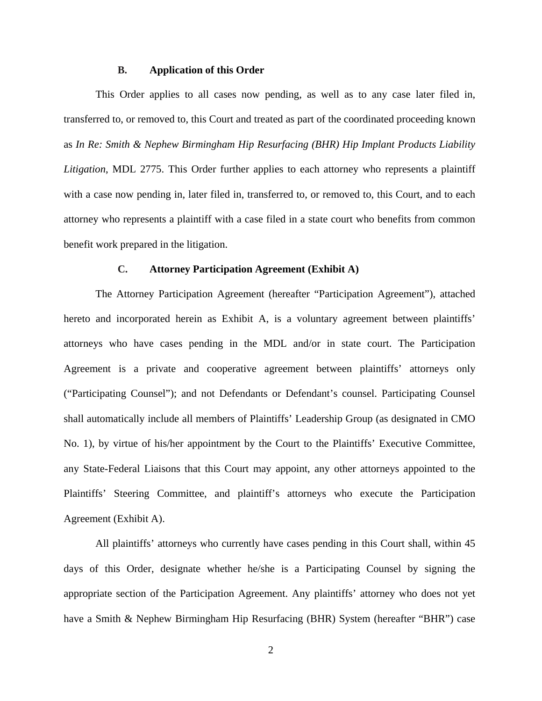#### **B. Application of this Order**

This Order applies to all cases now pending, as well as to any case later filed in, transferred to, or removed to, this Court and treated as part of the coordinated proceeding known as *In Re: Smith & Nephew Birmingham Hip Resurfacing (BHR) Hip Implant Products Liability Litigation*, MDL 2775. This Order further applies to each attorney who represents a plaintiff with a case now pending in, later filed in, transferred to, or removed to, this Court, and to each attorney who represents a plaintiff with a case filed in a state court who benefits from common benefit work prepared in the litigation.

## **C. Attorney Participation Agreement (Exhibit A)**

The Attorney Participation Agreement (hereafter "Participation Agreement"), attached hereto and incorporated herein as Exhibit A, is a voluntary agreement between plaintiffs' attorneys who have cases pending in the MDL and/or in state court. The Participation Agreement is a private and cooperative agreement between plaintiffs' attorneys only ("Participating Counsel"); and not Defendants or Defendant's counsel. Participating Counsel shall automatically include all members of Plaintiffs' Leadership Group (as designated in CMO No. 1), by virtue of his/her appointment by the Court to the Plaintiffs' Executive Committee, any State-Federal Liaisons that this Court may appoint, any other attorneys appointed to the Plaintiffs' Steering Committee, and plaintiff's attorneys who execute the Participation Agreement (Exhibit A).

All plaintiffs' attorneys who currently have cases pending in this Court shall, within 45 days of this Order, designate whether he/she is a Participating Counsel by signing the appropriate section of the Participation Agreement. Any plaintiffs' attorney who does not yet have a Smith & Nephew Birmingham Hip Resurfacing (BHR) System (hereafter "BHR") case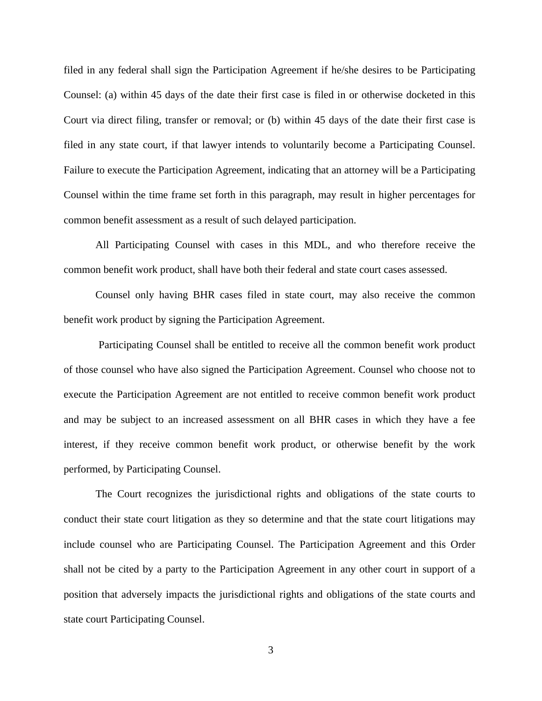filed in any federal shall sign the Participation Agreement if he/she desires to be Participating Counsel: (a) within 45 days of the date their first case is filed in or otherwise docketed in this Court via direct filing, transfer or removal; or (b) within 45 days of the date their first case is filed in any state court, if that lawyer intends to voluntarily become a Participating Counsel. Failure to execute the Participation Agreement, indicating that an attorney will be a Participating Counsel within the time frame set forth in this paragraph, may result in higher percentages for common benefit assessment as a result of such delayed participation.

All Participating Counsel with cases in this MDL, and who therefore receive the common benefit work product, shall have both their federal and state court cases assessed.

Counsel only having BHR cases filed in state court, may also receive the common benefit work product by signing the Participation Agreement.

Participating Counsel shall be entitled to receive all the common benefit work product of those counsel who have also signed the Participation Agreement. Counsel who choose not to execute the Participation Agreement are not entitled to receive common benefit work product and may be subject to an increased assessment on all BHR cases in which they have a fee interest, if they receive common benefit work product, or otherwise benefit by the work performed, by Participating Counsel.

The Court recognizes the jurisdictional rights and obligations of the state courts to conduct their state court litigation as they so determine and that the state court litigations may include counsel who are Participating Counsel. The Participation Agreement and this Order shall not be cited by a party to the Participation Agreement in any other court in support of a position that adversely impacts the jurisdictional rights and obligations of the state courts and state court Participating Counsel.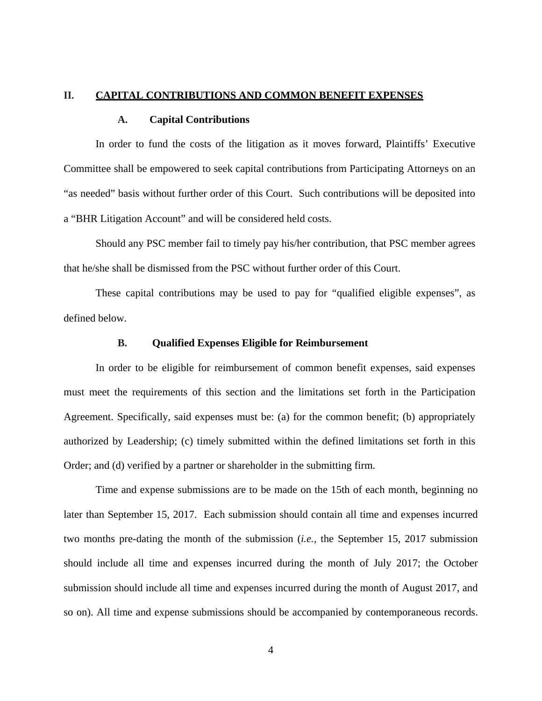#### **II. CAPITAL CONTRIBUTIONS AND COMMON BENEFIT EXPENSES**

#### **A. Capital Contributions**

In order to fund the costs of the litigation as it moves forward, Plaintiffs' Executive Committee shall be empowered to seek capital contributions from Participating Attorneys on an "as needed" basis without further order of this Court. Such contributions will be deposited into a "BHR Litigation Account" and will be considered held costs.

Should any PSC member fail to timely pay his/her contribution, that PSC member agrees that he/she shall be dismissed from the PSC without further order of this Court.

These capital contributions may be used to pay for "qualified eligible expenses", as defined below.

### **B. Qualified Expenses Eligible for Reimbursement**

In order to be eligible for reimbursement of common benefit expenses, said expenses must meet the requirements of this section and the limitations set forth in the Participation Agreement. Specifically, said expenses must be: (a) for the common benefit; (b) appropriately authorized by Leadership; (c) timely submitted within the defined limitations set forth in this Order; and (d) verified by a partner or shareholder in the submitting firm.

Time and expense submissions are to be made on the 15th of each month, beginning no later than September 15, 2017. Each submission should contain all time and expenses incurred two months pre-dating the month of the submission (*i.e.,* the September 15, 2017 submission should include all time and expenses incurred during the month of July 2017; the October submission should include all time and expenses incurred during the month of August 2017, and so on). All time and expense submissions should be accompanied by contemporaneous records.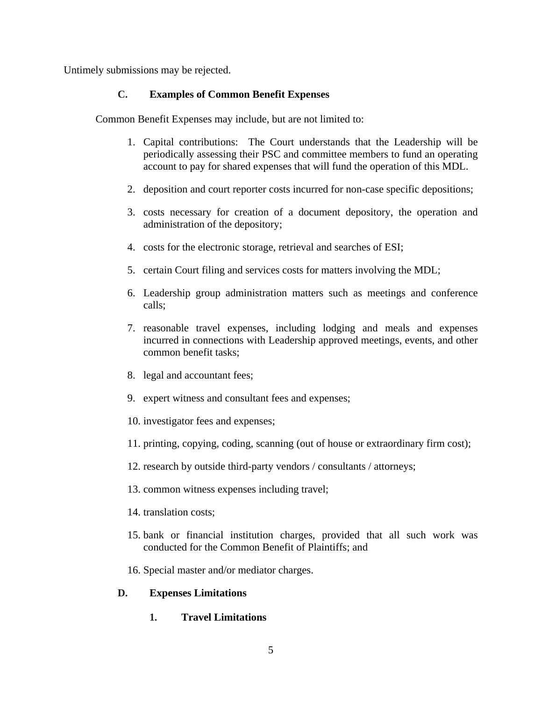Untimely submissions may be rejected.

# **C. Examples of Common Benefit Expenses**

Common Benefit Expenses may include, but are not limited to:

- 1. Capital contributions: The Court understands that the Leadership will be periodically assessing their PSC and committee members to fund an operating account to pay for shared expenses that will fund the operation of this MDL.
- 2. deposition and court reporter costs incurred for non-case specific depositions;
- 3. costs necessary for creation of a document depository, the operation and administration of the depository;
- 4. costs for the electronic storage, retrieval and searches of ESI;
- 5. certain Court filing and services costs for matters involving the MDL;
- 6. Leadership group administration matters such as meetings and conference calls;
- 7. reasonable travel expenses, including lodging and meals and expenses incurred in connections with Leadership approved meetings, events, and other common benefit tasks;
- 8. legal and accountant fees;
- 9. expert witness and consultant fees and expenses;
- 10. investigator fees and expenses;
- 11. printing, copying, coding, scanning (out of house or extraordinary firm cost);
- 12. research by outside third-party vendors / consultants / attorneys;
- 13. common witness expenses including travel;
- 14. translation costs;
- 15. bank or financial institution charges, provided that all such work was conducted for the Common Benefit of Plaintiffs; and
- 16. Special master and/or mediator charges.

# **D. Expenses Limitations**

**1. Travel Limitations**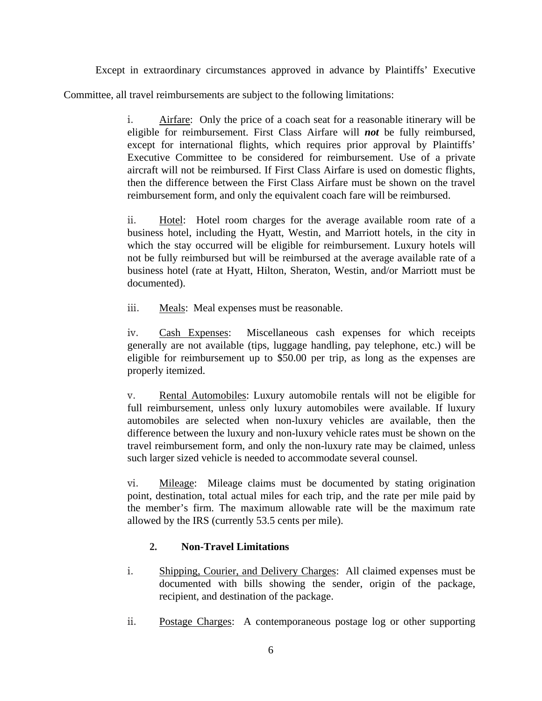Except in extraordinary circumstances approved in advance by Plaintiffs' Executive Committee, all travel reimbursements are subject to the following limitations:

> i. Airfare: Only the price of a coach seat for a reasonable itinerary will be eligible for reimbursement. First Class Airfare will *not* be fully reimbursed, except for international flights, which requires prior approval by Plaintiffs' Executive Committee to be considered for reimbursement. Use of a private aircraft will not be reimbursed. If First Class Airfare is used on domestic flights, then the difference between the First Class Airfare must be shown on the travel reimbursement form, and only the equivalent coach fare will be reimbursed.

> ii. Hotel: Hotel room charges for the average available room rate of a business hotel, including the Hyatt, Westin, and Marriott hotels, in the city in which the stay occurred will be eligible for reimbursement. Luxury hotels will not be fully reimbursed but will be reimbursed at the average available rate of a business hotel (rate at Hyatt, Hilton, Sheraton, Westin, and/or Marriott must be documented).

iii. Meals: Meal expenses must be reasonable.

iv. Cash Expenses: Miscellaneous cash expenses for which receipts generally are not available (tips, luggage handling, pay telephone, etc.) will be eligible for reimbursement up to \$50.00 per trip, as long as the expenses are properly itemized.

v. Rental Automobiles: Luxury automobile rentals will not be eligible for full reimbursement, unless only luxury automobiles were available. If luxury automobiles are selected when non-luxury vehicles are available, then the difference between the luxury and non-luxury vehicle rates must be shown on the travel reimbursement form, and only the non-luxury rate may be claimed, unless such larger sized vehicle is needed to accommodate several counsel.

vi. Mileage: Mileage claims must be documented by stating origination point, destination, total actual miles for each trip, and the rate per mile paid by the member's firm. The maximum allowable rate will be the maximum rate allowed by the IRS (currently 53.5 cents per mile).

# **2. Non-Travel Limitations**

- i. Shipping, Courier, and Delivery Charges: All claimed expenses must be documented with bills showing the sender, origin of the package, recipient, and destination of the package.
- ii. Postage Charges: A contemporaneous postage log or other supporting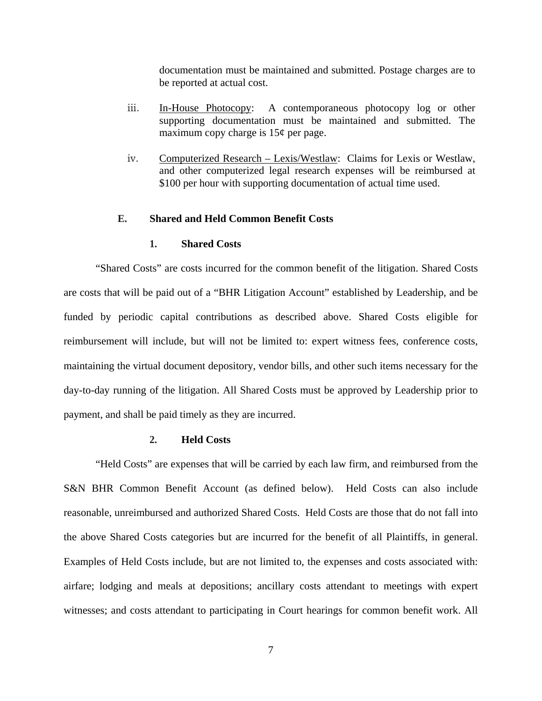documentation must be maintained and submitted. Postage charges are to be reported at actual cost.

- iii. In-House Photocopy: A contemporaneous photocopy log or other supporting documentation must be maintained and submitted. The maximum copy charge is  $15¢$  per page.
- iv. Computerized Research Lexis/Westlaw: Claims for Lexis or Westlaw, and other computerized legal research expenses will be reimbursed at \$100 per hour with supporting documentation of actual time used.

# **E. Shared and Held Common Benefit Costs**

#### **1. Shared Costs**

"Shared Costs" are costs incurred for the common benefit of the litigation. Shared Costs are costs that will be paid out of a "BHR Litigation Account" established by Leadership, and be funded by periodic capital contributions as described above. Shared Costs eligible for reimbursement will include, but will not be limited to: expert witness fees, conference costs, maintaining the virtual document depository, vendor bills, and other such items necessary for the day-to-day running of the litigation. All Shared Costs must be approved by Leadership prior to payment, and shall be paid timely as they are incurred.

## **2. Held Costs**

"Held Costs" are expenses that will be carried by each law firm, and reimbursed from the S&N BHR Common Benefit Account (as defined below). Held Costs can also include reasonable, unreimbursed and authorized Shared Costs. Held Costs are those that do not fall into the above Shared Costs categories but are incurred for the benefit of all Plaintiffs, in general. Examples of Held Costs include, but are not limited to, the expenses and costs associated with: airfare; lodging and meals at depositions; ancillary costs attendant to meetings with expert witnesses; and costs attendant to participating in Court hearings for common benefit work. All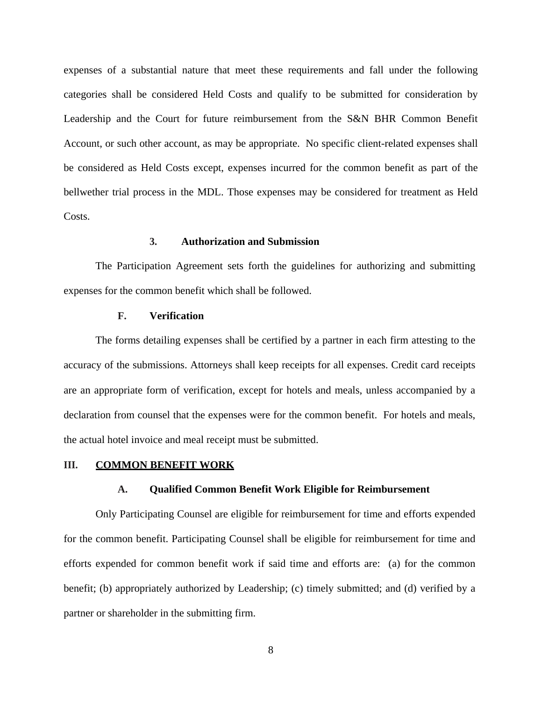expenses of a substantial nature that meet these requirements and fall under the following categories shall be considered Held Costs and qualify to be submitted for consideration by Leadership and the Court for future reimbursement from the S&N BHR Common Benefit Account, or such other account, as may be appropriate. No specific client-related expenses shall be considered as Held Costs except, expenses incurred for the common benefit as part of the bellwether trial process in the MDL. Those expenses may be considered for treatment as Held Costs.

## **3. Authorization and Submission**

The Participation Agreement sets forth the guidelines for authorizing and submitting expenses for the common benefit which shall be followed.

## **F. Verification**

The forms detailing expenses shall be certified by a partner in each firm attesting to the accuracy of the submissions. Attorneys shall keep receipts for all expenses. Credit card receipts are an appropriate form of verification, except for hotels and meals, unless accompanied by a declaration from counsel that the expenses were for the common benefit. For hotels and meals, the actual hotel invoice and meal receipt must be submitted.

## **III. COMMON BENEFIT WORK**

#### **A. Qualified Common Benefit Work Eligible for Reimbursement**

Only Participating Counsel are eligible for reimbursement for time and efforts expended for the common benefit. Participating Counsel shall be eligible for reimbursement for time and efforts expended for common benefit work if said time and efforts are: (a) for the common benefit; (b) appropriately authorized by Leadership; (c) timely submitted; and (d) verified by a partner or shareholder in the submitting firm.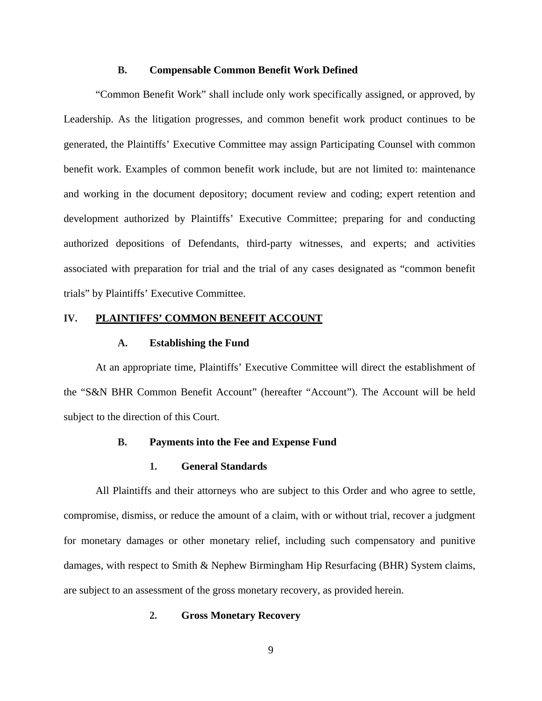#### **B. Compensable Common Benefit Work Defined**

"Common Benefit Work" shall include only work specifically assigned, or approved, by Leadership. As the litigation progresses, and common benefit work product continues to be generated, the Plaintiffs' Executive Committee may assign Participating Counsel with common benefit work. Examples of common benefit work include, but are not limited to: maintenance and working in the document depository; document review and coding; expert retention and development authorized by Plaintiffs' Executive Committee; preparing for and conducting authorized depositions of Defendants, third-party witnesses, and experts; and activities associated with preparation for trial and the trial of any cases designated as "common benefit trials" by Plaintiffs' Executive Committee.

# **IV. PLAINTIFFS' COMMON BENEFIT ACCOUNT**

## **A. Establishing the Fund**

At an appropriate time, Plaintiffs' Executive Committee will direct the establishment of the "S&N BHR Common Benefit Account" (hereafter "Account"). The Account will be held subject to the direction of this Court.

## **B. Payments into the Fee and Expense Fund**

## **1. General Standards**

All Plaintiffs and their attorneys who are subject to this Order and who agree to settle, compromise, dismiss, or reduce the amount of a claim, with or without trial, recover a judgment for monetary damages or other monetary relief, including such compensatory and punitive damages, with respect to Smith & Nephew Birmingham Hip Resurfacing (BHR) System claims, are subject to an assessment of the gross monetary recovery, as provided herein.

## **2. Gross Monetary Recovery**

9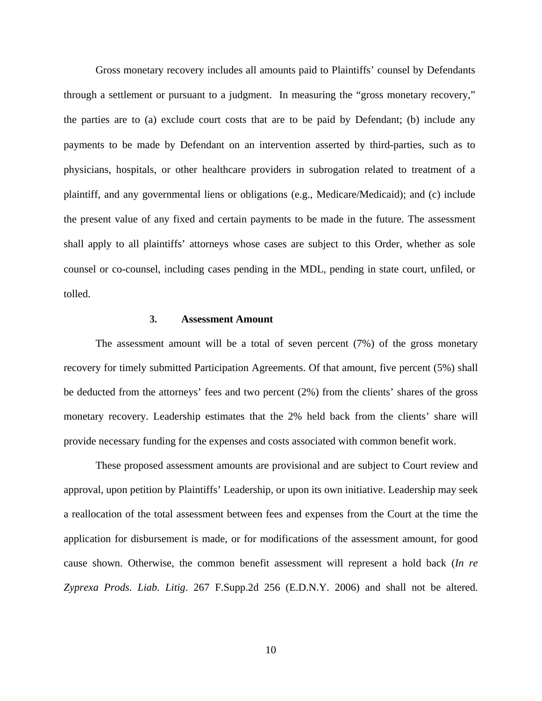Gross monetary recovery includes all amounts paid to Plaintiffs' counsel by Defendants through a settlement or pursuant to a judgment. In measuring the "gross monetary recovery," the parties are to (a) exclude court costs that are to be paid by Defendant; (b) include any payments to be made by Defendant on an intervention asserted by third-parties, such as to physicians, hospitals, or other healthcare providers in subrogation related to treatment of a plaintiff, and any governmental liens or obligations (e.g., Medicare/Medicaid); and (c) include the present value of any fixed and certain payments to be made in the future. The assessment shall apply to all plaintiffs' attorneys whose cases are subject to this Order, whether as sole counsel or co-counsel, including cases pending in the MDL, pending in state court, unfiled, or tolled.

## **3. Assessment Amount**

The assessment amount will be a total of seven percent (7%) of the gross monetary recovery for timely submitted Participation Agreements. Of that amount, five percent (5%) shall be deducted from the attorneys' fees and two percent (2%) from the clients' shares of the gross monetary recovery. Leadership estimates that the 2% held back from the clients' share will provide necessary funding for the expenses and costs associated with common benefit work.

These proposed assessment amounts are provisional and are subject to Court review and approval, upon petition by Plaintiffs' Leadership, or upon its own initiative. Leadership may seek a reallocation of the total assessment between fees and expenses from the Court at the time the application for disbursement is made, or for modifications of the assessment amount, for good cause shown. Otherwise, the common benefit assessment will represent a hold back (*In re Zyprexa Prods. Liab. Litig*. 267 F.Supp.2d 256 (E.D.N.Y. 2006) and shall not be altered.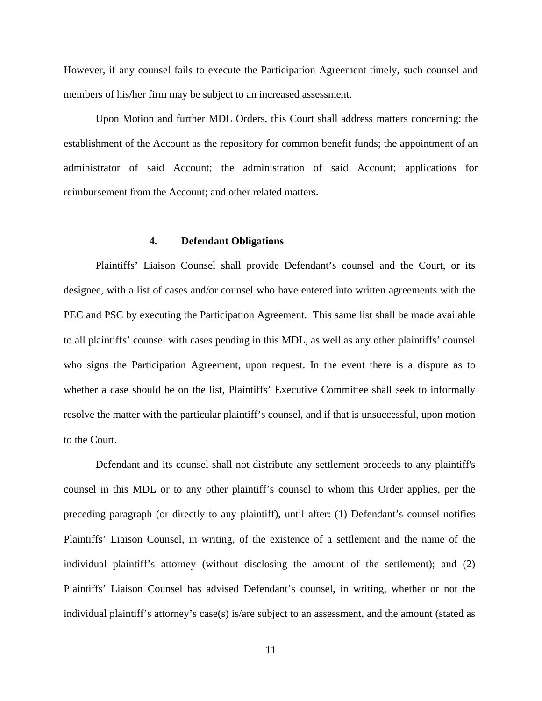However, if any counsel fails to execute the Participation Agreement timely, such counsel and members of his/her firm may be subject to an increased assessment.

Upon Motion and further MDL Orders, this Court shall address matters concerning: the establishment of the Account as the repository for common benefit funds; the appointment of an administrator of said Account; the administration of said Account; applications for reimbursement from the Account; and other related matters.

#### **4. Defendant Obligations**

Plaintiffs' Liaison Counsel shall provide Defendant's counsel and the Court, or its designee, with a list of cases and/or counsel who have entered into written agreements with the PEC and PSC by executing the Participation Agreement. This same list shall be made available to all plaintiffs' counsel with cases pending in this MDL, as well as any other plaintiffs' counsel who signs the Participation Agreement, upon request. In the event there is a dispute as to whether a case should be on the list, Plaintiffs' Executive Committee shall seek to informally resolve the matter with the particular plaintiff's counsel, and if that is unsuccessful, upon motion to the Court.

Defendant and its counsel shall not distribute any settlement proceeds to any plaintiff's counsel in this MDL or to any other plaintiff's counsel to whom this Order applies, per the preceding paragraph (or directly to any plaintiff), until after: (1) Defendant's counsel notifies Plaintiffs' Liaison Counsel, in writing, of the existence of a settlement and the name of the individual plaintiff's attorney (without disclosing the amount of the settlement); and (2) Plaintiffs' Liaison Counsel has advised Defendant's counsel, in writing, whether or not the individual plaintiff's attorney's case(s) is/are subject to an assessment, and the amount (stated as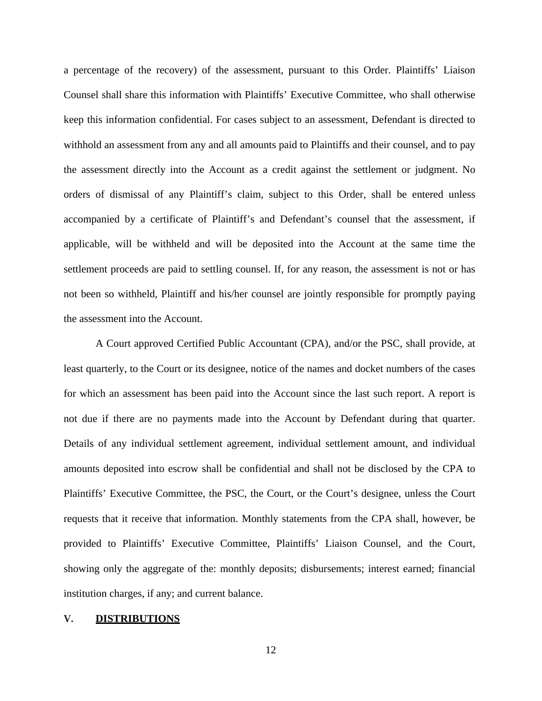a percentage of the recovery) of the assessment, pursuant to this Order. Plaintiffs' Liaison Counsel shall share this information with Plaintiffs' Executive Committee, who shall otherwise keep this information confidential. For cases subject to an assessment, Defendant is directed to withhold an assessment from any and all amounts paid to Plaintiffs and their counsel, and to pay the assessment directly into the Account as a credit against the settlement or judgment. No orders of dismissal of any Plaintiff's claim, subject to this Order, shall be entered unless accompanied by a certificate of Plaintiff's and Defendant's counsel that the assessment, if applicable, will be withheld and will be deposited into the Account at the same time the settlement proceeds are paid to settling counsel. If, for any reason, the assessment is not or has not been so withheld, Plaintiff and his/her counsel are jointly responsible for promptly paying the assessment into the Account.

A Court approved Certified Public Accountant (CPA), and/or the PSC, shall provide, at least quarterly, to the Court or its designee, notice of the names and docket numbers of the cases for which an assessment has been paid into the Account since the last such report. A report is not due if there are no payments made into the Account by Defendant during that quarter. Details of any individual settlement agreement, individual settlement amount, and individual amounts deposited into escrow shall be confidential and shall not be disclosed by the CPA to Plaintiffs' Executive Committee, the PSC, the Court, or the Court's designee, unless the Court requests that it receive that information. Monthly statements from the CPA shall, however, be provided to Plaintiffs' Executive Committee, Plaintiffs' Liaison Counsel, and the Court, showing only the aggregate of the: monthly deposits; disbursements; interest earned; financial institution charges, if any; and current balance.

# **V. DISTRIBUTIONS**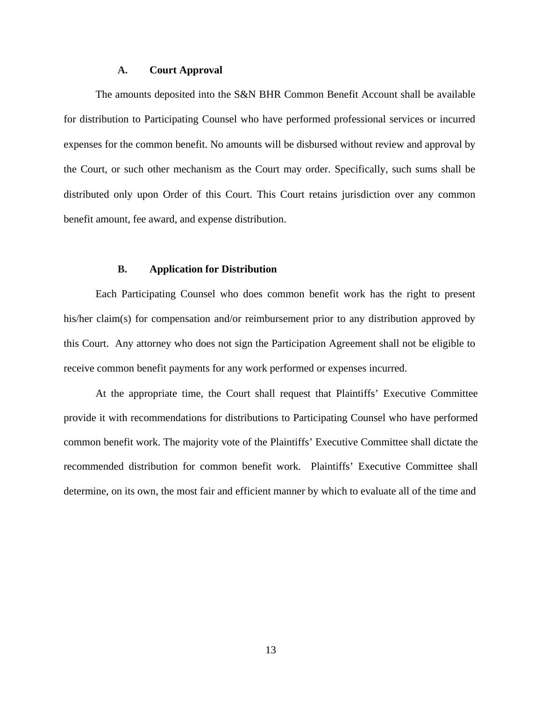#### **A. Court Approval**

The amounts deposited into the S&N BHR Common Benefit Account shall be available for distribution to Participating Counsel who have performed professional services or incurred expenses for the common benefit. No amounts will be disbursed without review and approval by the Court, or such other mechanism as the Court may order. Specifically, such sums shall be distributed only upon Order of this Court. This Court retains jurisdiction over any common benefit amount, fee award, and expense distribution.

#### **B. Application for Distribution**

Each Participating Counsel who does common benefit work has the right to present his/her claim(s) for compensation and/or reimbursement prior to any distribution approved by this Court. Any attorney who does not sign the Participation Agreement shall not be eligible to receive common benefit payments for any work performed or expenses incurred.

At the appropriate time, the Court shall request that Plaintiffs' Executive Committee provide it with recommendations for distributions to Participating Counsel who have performed common benefit work. The majority vote of the Plaintiffs' Executive Committee shall dictate the recommended distribution for common benefit work. Plaintiffs' Executive Committee shall determine, on its own, the most fair and efficient manner by which to evaluate all of the time and

13